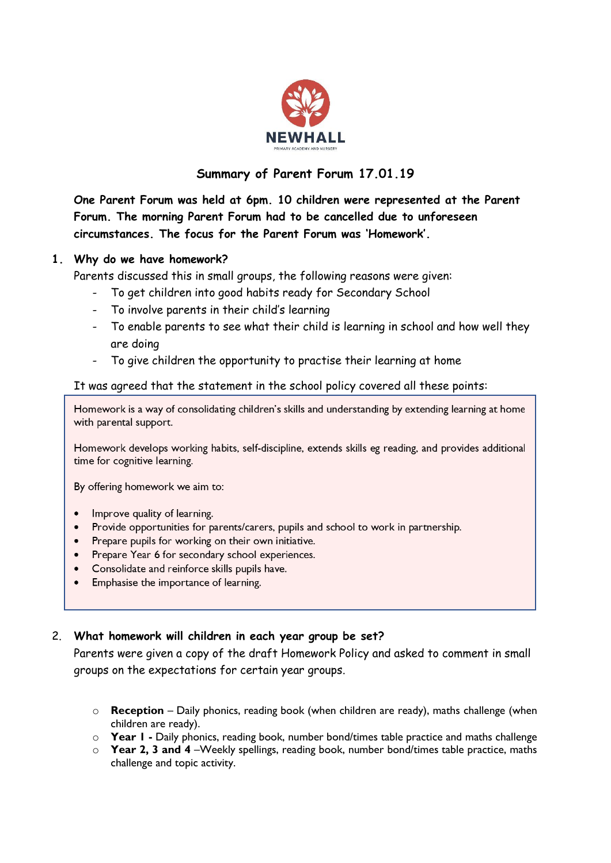

# **Summary of Parent Forum 17.01.19**

**One Parent Forum was held at 6pm. 10 children were represented at the Parent Forum. The morning Parent Forum had to be cancelled due to unforeseen circumstances. The focus for the Parent Forum was 'Homework'.**

#### **1. Why do we have homework?**

Parents discussed this in small groups, the following reasons were given:

- To get children into good habits ready for Secondary School
- To involve parents in their child's learning
- To enable parents to see what their child is learning in school and how well they are doing
- To give children the opportunity to practise their learning at home

### It was agreed that the statement in the school policy covered all these points:

Homework is a way of consolidating children's skills and understanding by extending learning at home with parental support.

Homework develops working habits, self-discipline, extends skills eg reading, and provides additional time for cognitive learning.

By offering homework we aim to:

- Improve quality of learning.
- Provide opportunities for parents/carers, pupils and school to work in partnership.
- Prepare pupils for working on their own initiative.
- Prepare Year 6 for secondary school experiences.
- Consolidate and reinforce skills pupils have.
- Emphasise the importance of learning.

#### 2. **What homework will children in each year group be set?**

Parents were given a copy of the draft Homework Policy and asked to comment in small groups on the expectations for certain year groups.

- o **Reception** Daily phonics, reading book (when children are ready), maths challenge (when children are ready).
- o **Year 1 -** Daily phonics, reading book, number bond/times table practice and maths challenge
- o **Year 2, 3 and 4** –Weekly spellings, reading book, number bond/times table practice, maths challenge and topic activity.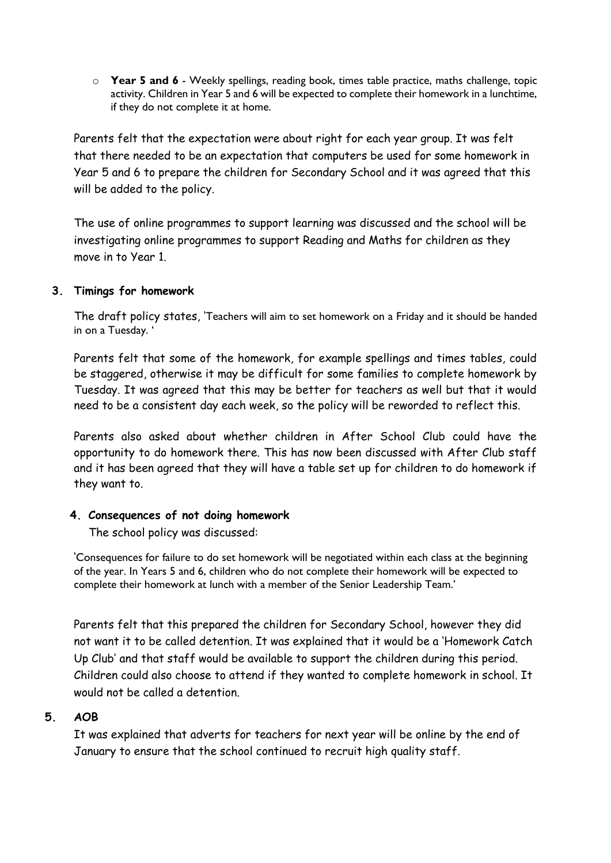o **Year 5 and 6** - Weekly spellings, reading book, times table practice, maths challenge, topic activity. Children in Year 5 and 6 will be expected to complete their homework in a lunchtime, if they do not complete it at home.

Parents felt that the expectation were about right for each year group. It was felt that there needed to be an expectation that computers be used for some homework in Year 5 and 6 to prepare the children for Secondary School and it was agreed that this will be added to the policy.

The use of online programmes to support learning was discussed and the school will be investigating online programmes to support Reading and Maths for children as they move in to Year 1.

#### **3. Timings for homework**

The draft policy states, 'Teachers will aim to set homework on a Friday and it should be handed in on a Tuesday. '

Parents felt that some of the homework, for example spellings and times tables, could be staggered, otherwise it may be difficult for some families to complete homework by Tuesday. It was agreed that this may be better for teachers as well but that it would need to be a consistent day each week, so the policy will be reworded to reflect this.

Parents also asked about whether children in After School Club could have the opportunity to do homework there. This has now been discussed with After Club staff and it has been agreed that they will have a table set up for children to do homework if they want to.

## **4. Consequences of not doing homework**

The school policy was discussed:

'Consequences for failure to do set homework will be negotiated within each class at the beginning of the year. In Years 5 and 6, children who do not complete their homework will be expected to complete their homework at lunch with a member of the Senior Leadership Team.'

Parents felt that this prepared the children for Secondary School, however they did not want it to be called detention. It was explained that it would be a 'Homework Catch Up Club' and that staff would be available to support the children during this period. Children could also choose to attend if they wanted to complete homework in school. It would not be called a detention.

#### **5. AOB**

It was explained that adverts for teachers for next year will be online by the end of January to ensure that the school continued to recruit high quality staff.